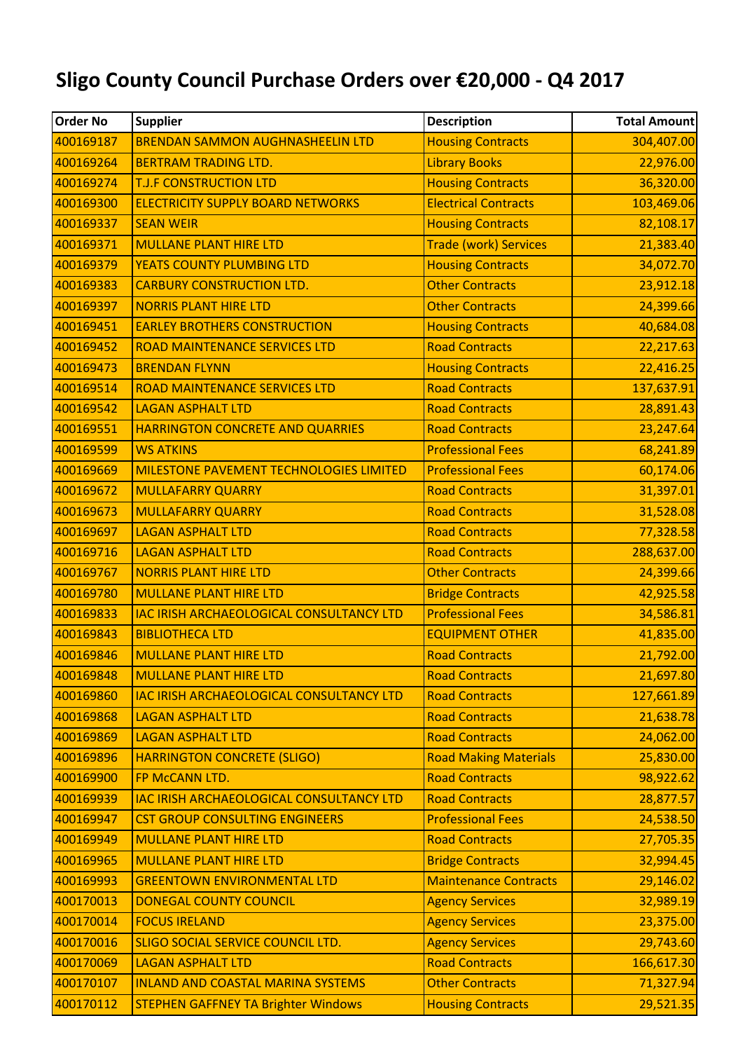## **Sligo County Council Purchase Orders over €20,000 - Q4 2017**

| <b>Order No</b> | <b>Supplier</b>                            | <b>Description</b>           | <b>Total Amount</b> |
|-----------------|--------------------------------------------|------------------------------|---------------------|
| 400169187       | <b>BRENDAN SAMMON AUGHNASHEELIN LTD</b>    | <b>Housing Contracts</b>     | 304,407.00          |
| 400169264       | <b>BERTRAM TRADING LTD.</b>                | <b>Library Books</b>         | 22,976.00           |
| 400169274       | <b>T.J.F CONSTRUCTION LTD</b>              | <b>Housing Contracts</b>     | 36,320.00           |
| 400169300       | <b>ELECTRICITY SUPPLY BOARD NETWORKS</b>   | <b>Electrical Contracts</b>  | 103,469.06          |
| 400169337       | <b>SEAN WEIR</b>                           | <b>Housing Contracts</b>     | 82,108.17           |
| 400169371       | <b>MULLANE PLANT HIRE LTD</b>              | <b>Trade (work) Services</b> | 21,383.40           |
| 400169379       | <b>YEATS COUNTY PLUMBING LTD</b>           | <b>Housing Contracts</b>     | 34,072.70           |
| 400169383       | <b>CARBURY CONSTRUCTION LTD.</b>           | <b>Other Contracts</b>       | 23,912.18           |
| 400169397       | <b>NORRIS PLANT HIRE LTD</b>               | <b>Other Contracts</b>       | 24,399.66           |
| 400169451       | <b>EARLEY BROTHERS CONSTRUCTION</b>        | <b>Housing Contracts</b>     | 40,684.08           |
| 400169452       | <b>ROAD MAINTENANCE SERVICES LTD</b>       | <b>Road Contracts</b>        | 22,217.63           |
| 400169473       | <b>BRENDAN FLYNN</b>                       | <b>Housing Contracts</b>     | 22,416.25           |
| 400169514       | <b>ROAD MAINTENANCE SERVICES LTD</b>       | <b>Road Contracts</b>        | 137,637.91          |
| 400169542       | <b>LAGAN ASPHALT LTD</b>                   | <b>Road Contracts</b>        | 28,891.43           |
| 400169551       | HARRINGTON CONCRETE AND QUARRIES           | <b>Road Contracts</b>        | 23,247.64           |
| 400169599       | <b>WS ATKINS</b>                           | <b>Professional Fees</b>     | 68,241.89           |
| 400169669       | MILESTONE PAVEMENT TECHNOLOGIES LIMITED    | <b>Professional Fees</b>     | 60,174.06           |
| 400169672       | <b>MULLAFARRY QUARRY</b>                   | <b>Road Contracts</b>        | 31,397.01           |
| 400169673       | <b>MULLAFARRY QUARRY</b>                   | <b>Road Contracts</b>        | 31,528.08           |
| 400169697       | <b>LAGAN ASPHALT LTD</b>                   | <b>Road Contracts</b>        | 77,328.58           |
| 400169716       | <b>LAGAN ASPHALT LTD</b>                   | <b>Road Contracts</b>        | 288,637.00          |
| 400169767       | <b>NORRIS PLANT HIRE LTD</b>               | <b>Other Contracts</b>       | 24,399.66           |
| 400169780       | <b>MULLANE PLANT HIRE LTD</b>              | <b>Bridge Contracts</b>      | 42,925.58           |
| 400169833       | IAC IRISH ARCHAEOLOGICAL CONSULTANCY LTD   | <b>Professional Fees</b>     | 34,586.81           |
| 400169843       | <b>BIBLIOTHECA LTD</b>                     | <b>EQUIPMENT OTHER</b>       | 41,835.00           |
| 400169846       | <b>MULLANE PLANT HIRE LTD</b>              | <b>Road Contracts</b>        | 21,792.00           |
| 400169848       | <b>MULLANE PLANT HIRE LTD</b>              | <b>Road Contracts</b>        | 21,697.80           |
| 400169860       | IAC IRISH ARCHAEOLOGICAL CONSULTANCY LTD   | <b>Road Contracts</b>        | 127,661.89          |
| 400169868       | <b>LAGAN ASPHALT LTD</b>                   | <b>Road Contracts</b>        | 21,638.78           |
| 400169869       | <b>LAGAN ASPHALT LTD</b>                   | <b>Road Contracts</b>        | 24,062.00           |
| 400169896       | <b>HARRINGTON CONCRETE (SLIGO)</b>         | <b>Road Making Materials</b> | 25,830.00           |
| 400169900       | FP McCANN LTD.                             | <b>Road Contracts</b>        | 98,922.62           |
| 400169939       | IAC IRISH ARCHAEOLOGICAL CONSULTANCY LTD   | <b>Road Contracts</b>        | 28,877.57           |
| 400169947       | <b>CST GROUP CONSULTING ENGINEERS</b>      | <b>Professional Fees</b>     | 24,538.50           |
| 400169949       | <b>MULLANE PLANT HIRE LTD</b>              | <b>Road Contracts</b>        | 27,705.35           |
| 400169965       | <b>MULLANE PLANT HIRE LTD</b>              | <b>Bridge Contracts</b>      | 32,994.45           |
| 400169993       | <b>GREENTOWN ENVIRONMENTAL LTD</b>         | <b>Maintenance Contracts</b> | 29,146.02           |
| 400170013       | DONEGAL COUNTY COUNCIL                     | <b>Agency Services</b>       | 32,989.19           |
| 400170014       | <b>FOCUS IRELAND</b>                       | <b>Agency Services</b>       | 23,375.00           |
| 400170016       | SLIGO SOCIAL SERVICE COUNCIL LTD.          | <b>Agency Services</b>       | 29,743.60           |
| 400170069       | <b>LAGAN ASPHALT LTD</b>                   | <b>Road Contracts</b>        | 166,617.30          |
| 400170107       | <b>INLAND AND COASTAL MARINA SYSTEMS</b>   | <b>Other Contracts</b>       | 71,327.94           |
| 400170112       | <b>STEPHEN GAFFNEY TA Brighter Windows</b> | <b>Housing Contracts</b>     | 29,521.35           |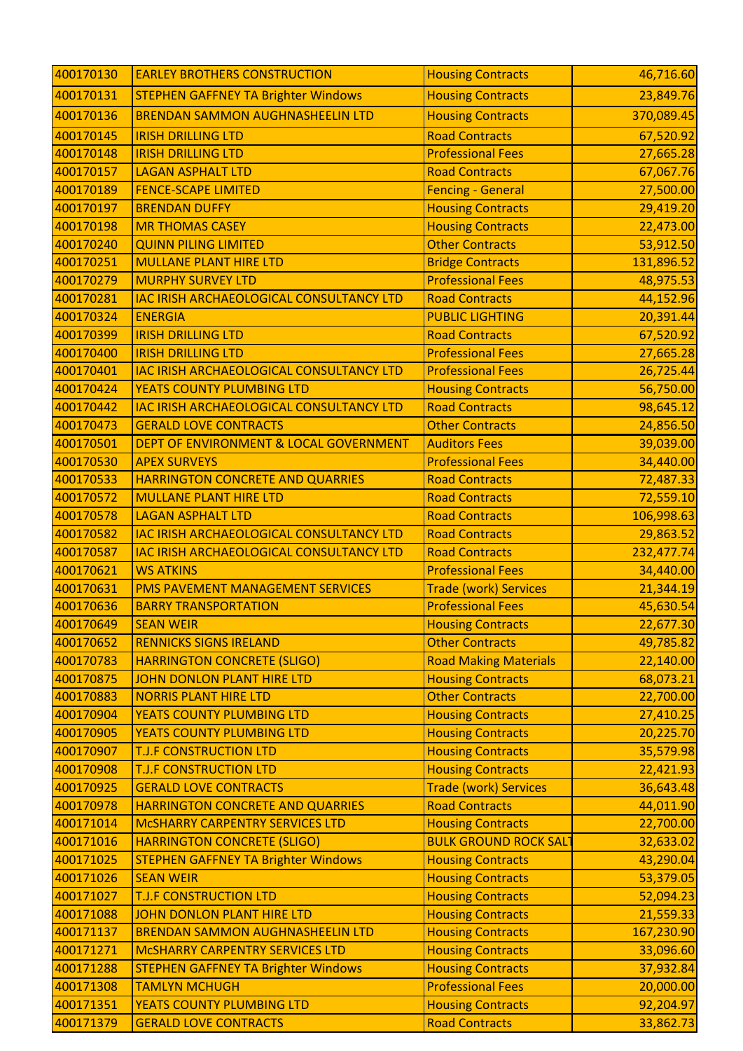| 400170130 | <b>EARLEY BROTHERS CONSTRUCTION</b>             | <b>Housing Contracts</b>     | 46,716.60  |
|-----------|-------------------------------------------------|------------------------------|------------|
| 400170131 | <b>STEPHEN GAFFNEY TA Brighter Windows</b>      | <b>Housing Contracts</b>     | 23,849.76  |
| 400170136 | <b>BRENDAN SAMMON AUGHNASHEELIN LTD</b>         | <b>Housing Contracts</b>     | 370,089.45 |
| 400170145 | <b>IRISH DRILLING LTD</b>                       | <b>Road Contracts</b>        | 67,520.92  |
| 400170148 | <b>IRISH DRILLING LTD</b>                       | <b>Professional Fees</b>     | 27,665.28  |
| 400170157 | <b>LAGAN ASPHALT LTD</b>                        | <b>Road Contracts</b>        | 67,067.76  |
| 400170189 | <b>FENCE-SCAPE LIMITED</b>                      | <b>Fencing - General</b>     | 27,500.00  |
| 400170197 | <b>BRENDAN DUFFY</b>                            | <b>Housing Contracts</b>     | 29,419.20  |
| 400170198 | <b>MR THOMAS CASEY</b>                          | <b>Housing Contracts</b>     | 22,473.00  |
| 400170240 | <b>QUINN PILING LIMITED</b>                     | <b>Other Contracts</b>       | 53,912.50  |
| 400170251 | <b>MULLANE PLANT HIRE LTD</b>                   | <b>Bridge Contracts</b>      | 131,896.52 |
| 400170279 | <b>MURPHY SURVEY LTD</b>                        | <b>Professional Fees</b>     | 48,975.53  |
| 400170281 | IAC IRISH ARCHAEOLOGICAL CONSULTANCY LTD        | <b>Road Contracts</b>        | 44,152.96  |
| 400170324 | <b>ENERGIA</b>                                  | <b>PUBLIC LIGHTING</b>       | 20,391.44  |
| 400170399 | <b>IRISH DRILLING LTD</b>                       | <b>Road Contracts</b>        | 67,520.92  |
| 400170400 | <b>IRISH DRILLING LTD</b>                       | <b>Professional Fees</b>     | 27,665.28  |
| 400170401 | <b>IAC IRISH ARCHAEOLOGICAL CONSULTANCY LTD</b> | <b>Professional Fees</b>     | 26,725.44  |
| 400170424 | YEATS COUNTY PLUMBING LTD                       | <b>Housing Contracts</b>     | 56,750.00  |
| 400170442 | <b>IAC IRISH ARCHAEOLOGICAL CONSULTANCY LTD</b> | <b>Road Contracts</b>        | 98,645.12  |
| 400170473 | <b>GERALD LOVE CONTRACTS</b>                    | <b>Other Contracts</b>       | 24,856.50  |
| 400170501 | DEPT OF ENVIRONMENT & LOCAL GOVERNMENT          | <b>Auditors Fees</b>         | 39,039.00  |
| 400170530 | <b>APEX SURVEYS</b>                             | <b>Professional Fees</b>     | 34,440.00  |
| 400170533 | HARRINGTON CONCRETE AND QUARRIES                | <b>Road Contracts</b>        | 72,487.33  |
| 400170572 | <b>MULLANE PLANT HIRE LTD</b>                   | <b>Road Contracts</b>        | 72,559.10  |
| 400170578 | <b>LAGAN ASPHALT LTD</b>                        | <b>Road Contracts</b>        | 106,998.63 |
| 400170582 | <b>IAC IRISH ARCHAEOLOGICAL CONSULTANCY LTD</b> | <b>Road Contracts</b>        | 29,863.52  |
| 400170587 | IAC IRISH ARCHAEOLOGICAL CONSULTANCY LTD        | <b>Road Contracts</b>        | 232,477.74 |
| 400170621 | <b>WS ATKINS</b>                                | <b>Professional Fees</b>     | 34,440.00  |
| 400170631 | PMS PAVEMENT MANAGEMENT SERVICES                | <b>Trade (work) Services</b> | 21,344.19  |
| 400170636 | <b>BARRY TRANSPORTATION</b>                     | <b>Professional Fees</b>     | 45,630.54  |
| 400170649 | <b>SEAN WEIR</b>                                | <b>Housing Contracts</b>     | 22,677.30  |
| 400170652 | <b>RENNICKS SIGNS IRELAND</b>                   | <b>Other Contracts</b>       | 49,785.82  |
| 400170783 | <b>HARRINGTON CONCRETE (SLIGO)</b>              | <b>Road Making Materials</b> | 22,140.00  |
| 400170875 | <b>JOHN DONLON PLANT HIRE LTD</b>               | <b>Housing Contracts</b>     | 68,073.21  |
| 400170883 | <b>NORRIS PLANT HIRE LTD</b>                    | <b>Other Contracts</b>       | 22,700.00  |
| 400170904 | <b>YEATS COUNTY PLUMBING LTD</b>                | <b>Housing Contracts</b>     | 27,410.25  |
| 400170905 | YEATS COUNTY PLUMBING LTD                       | <b>Housing Contracts</b>     | 20,225.70  |
| 400170907 | <b>T.J.F CONSTRUCTION LTD</b>                   | <b>Housing Contracts</b>     | 35,579.98  |
| 400170908 | <b>T.J.F CONSTRUCTION LTD</b>                   | <b>Housing Contracts</b>     | 22,421.93  |
| 400170925 | <b>GERALD LOVE CONTRACTS</b>                    | <b>Trade (work) Services</b> | 36,643.48  |
| 400170978 | HARRINGTON CONCRETE AND QUARRIES                | <b>Road Contracts</b>        | 44,011.90  |
| 400171014 | <b>MCSHARRY CARPENTRY SERVICES LTD</b>          | <b>Housing Contracts</b>     | 22,700.00  |
| 400171016 | <b>HARRINGTON CONCRETE (SLIGO)</b>              | <b>BULK GROUND ROCK SALT</b> | 32,633.02  |
| 400171025 | <b>STEPHEN GAFFNEY TA Brighter Windows</b>      | <b>Housing Contracts</b>     | 43,290.04  |
| 400171026 | <b>SEAN WEIR</b>                                | <b>Housing Contracts</b>     | 53,379.05  |
| 400171027 | <b>T.J.F CONSTRUCTION LTD</b>                   | <b>Housing Contracts</b>     | 52,094.23  |
| 400171088 | <b>JOHN DONLON PLANT HIRE LTD</b>               | <b>Housing Contracts</b>     | 21,559.33  |
| 400171137 | <b>BRENDAN SAMMON AUGHNASHEELIN LTD</b>         | <b>Housing Contracts</b>     | 167,230.90 |
| 400171271 | <b>MCSHARRY CARPENTRY SERVICES LTD</b>          | <b>Housing Contracts</b>     | 33,096.60  |
| 400171288 | <b>STEPHEN GAFFNEY TA Brighter Windows</b>      | <b>Housing Contracts</b>     | 37,932.84  |
| 400171308 | <b>TAMLYN MCHUGH</b>                            | <b>Professional Fees</b>     | 20,000.00  |
| 400171351 | YEATS COUNTY PLUMBING LTD                       | <b>Housing Contracts</b>     | 92,204.97  |
| 400171379 | <b>GERALD LOVE CONTRACTS</b>                    | <b>Road Contracts</b>        | 33,862.73  |